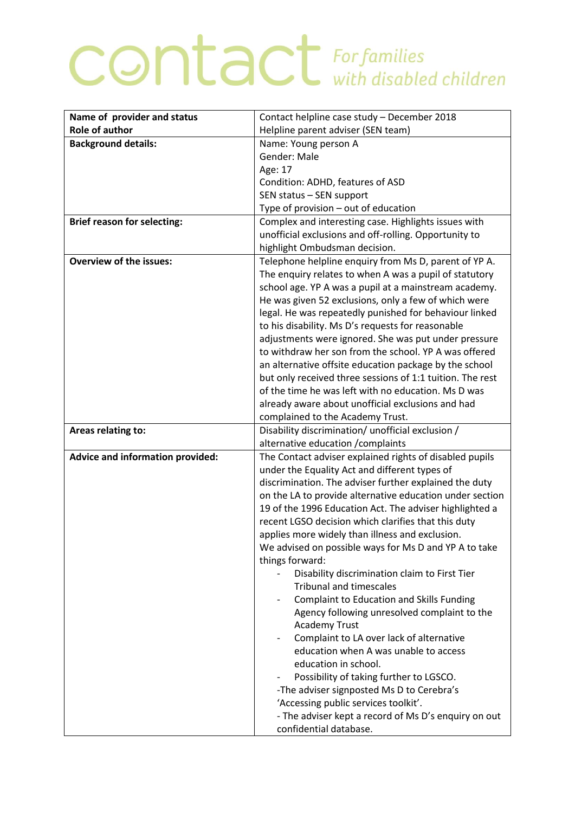## **CONTACT** For families

| <b>Role of author</b><br>Helpline parent adviser (SEN team)<br><b>Background details:</b><br>Name: Young person A<br>Gender: Male<br>Age: 17<br>Condition: ADHD, features of ASD<br>SEN status - SEN support<br>Type of provision - out of education<br><b>Brief reason for selecting:</b><br>Complex and interesting case. Highlights issues with<br>unofficial exclusions and off-rolling. Opportunity to<br>highlight Ombudsman decision.<br><b>Overview of the issues:</b><br>Telephone helpline enquiry from Ms D, parent of YP A.<br>The enquiry relates to when A was a pupil of statutory<br>school age. YP A was a pupil at a mainstream academy.<br>He was given 52 exclusions, only a few of which were<br>legal. He was repeatedly punished for behaviour linked<br>to his disability. Ms D's requests for reasonable<br>adjustments were ignored. She was put under pressure<br>to withdraw her son from the school. YP A was offered<br>an alternative offsite education package by the school<br>but only received three sessions of 1:1 tuition. The rest<br>of the time he was left with no education. Ms D was<br>already aware about unofficial exclusions and had<br>complained to the Academy Trust.<br>Disability discrimination/ unofficial exclusion /<br>Areas relating to:<br>alternative education / complaints<br>Advice and information provided:<br>The Contact adviser explained rights of disabled pupils |
|-------------------------------------------------------------------------------------------------------------------------------------------------------------------------------------------------------------------------------------------------------------------------------------------------------------------------------------------------------------------------------------------------------------------------------------------------------------------------------------------------------------------------------------------------------------------------------------------------------------------------------------------------------------------------------------------------------------------------------------------------------------------------------------------------------------------------------------------------------------------------------------------------------------------------------------------------------------------------------------------------------------------------------------------------------------------------------------------------------------------------------------------------------------------------------------------------------------------------------------------------------------------------------------------------------------------------------------------------------------------------------------------------------------------------------------------|
|                                                                                                                                                                                                                                                                                                                                                                                                                                                                                                                                                                                                                                                                                                                                                                                                                                                                                                                                                                                                                                                                                                                                                                                                                                                                                                                                                                                                                                           |
|                                                                                                                                                                                                                                                                                                                                                                                                                                                                                                                                                                                                                                                                                                                                                                                                                                                                                                                                                                                                                                                                                                                                                                                                                                                                                                                                                                                                                                           |
|                                                                                                                                                                                                                                                                                                                                                                                                                                                                                                                                                                                                                                                                                                                                                                                                                                                                                                                                                                                                                                                                                                                                                                                                                                                                                                                                                                                                                                           |
|                                                                                                                                                                                                                                                                                                                                                                                                                                                                                                                                                                                                                                                                                                                                                                                                                                                                                                                                                                                                                                                                                                                                                                                                                                                                                                                                                                                                                                           |
|                                                                                                                                                                                                                                                                                                                                                                                                                                                                                                                                                                                                                                                                                                                                                                                                                                                                                                                                                                                                                                                                                                                                                                                                                                                                                                                                                                                                                                           |
|                                                                                                                                                                                                                                                                                                                                                                                                                                                                                                                                                                                                                                                                                                                                                                                                                                                                                                                                                                                                                                                                                                                                                                                                                                                                                                                                                                                                                                           |
|                                                                                                                                                                                                                                                                                                                                                                                                                                                                                                                                                                                                                                                                                                                                                                                                                                                                                                                                                                                                                                                                                                                                                                                                                                                                                                                                                                                                                                           |
|                                                                                                                                                                                                                                                                                                                                                                                                                                                                                                                                                                                                                                                                                                                                                                                                                                                                                                                                                                                                                                                                                                                                                                                                                                                                                                                                                                                                                                           |
|                                                                                                                                                                                                                                                                                                                                                                                                                                                                                                                                                                                                                                                                                                                                                                                                                                                                                                                                                                                                                                                                                                                                                                                                                                                                                                                                                                                                                                           |
|                                                                                                                                                                                                                                                                                                                                                                                                                                                                                                                                                                                                                                                                                                                                                                                                                                                                                                                                                                                                                                                                                                                                                                                                                                                                                                                                                                                                                                           |
|                                                                                                                                                                                                                                                                                                                                                                                                                                                                                                                                                                                                                                                                                                                                                                                                                                                                                                                                                                                                                                                                                                                                                                                                                                                                                                                                                                                                                                           |
|                                                                                                                                                                                                                                                                                                                                                                                                                                                                                                                                                                                                                                                                                                                                                                                                                                                                                                                                                                                                                                                                                                                                                                                                                                                                                                                                                                                                                                           |
|                                                                                                                                                                                                                                                                                                                                                                                                                                                                                                                                                                                                                                                                                                                                                                                                                                                                                                                                                                                                                                                                                                                                                                                                                                                                                                                                                                                                                                           |
|                                                                                                                                                                                                                                                                                                                                                                                                                                                                                                                                                                                                                                                                                                                                                                                                                                                                                                                                                                                                                                                                                                                                                                                                                                                                                                                                                                                                                                           |
|                                                                                                                                                                                                                                                                                                                                                                                                                                                                                                                                                                                                                                                                                                                                                                                                                                                                                                                                                                                                                                                                                                                                                                                                                                                                                                                                                                                                                                           |
|                                                                                                                                                                                                                                                                                                                                                                                                                                                                                                                                                                                                                                                                                                                                                                                                                                                                                                                                                                                                                                                                                                                                                                                                                                                                                                                                                                                                                                           |
|                                                                                                                                                                                                                                                                                                                                                                                                                                                                                                                                                                                                                                                                                                                                                                                                                                                                                                                                                                                                                                                                                                                                                                                                                                                                                                                                                                                                                                           |
|                                                                                                                                                                                                                                                                                                                                                                                                                                                                                                                                                                                                                                                                                                                                                                                                                                                                                                                                                                                                                                                                                                                                                                                                                                                                                                                                                                                                                                           |
|                                                                                                                                                                                                                                                                                                                                                                                                                                                                                                                                                                                                                                                                                                                                                                                                                                                                                                                                                                                                                                                                                                                                                                                                                                                                                                                                                                                                                                           |
|                                                                                                                                                                                                                                                                                                                                                                                                                                                                                                                                                                                                                                                                                                                                                                                                                                                                                                                                                                                                                                                                                                                                                                                                                                                                                                                                                                                                                                           |
|                                                                                                                                                                                                                                                                                                                                                                                                                                                                                                                                                                                                                                                                                                                                                                                                                                                                                                                                                                                                                                                                                                                                                                                                                                                                                                                                                                                                                                           |
|                                                                                                                                                                                                                                                                                                                                                                                                                                                                                                                                                                                                                                                                                                                                                                                                                                                                                                                                                                                                                                                                                                                                                                                                                                                                                                                                                                                                                                           |
|                                                                                                                                                                                                                                                                                                                                                                                                                                                                                                                                                                                                                                                                                                                                                                                                                                                                                                                                                                                                                                                                                                                                                                                                                                                                                                                                                                                                                                           |
|                                                                                                                                                                                                                                                                                                                                                                                                                                                                                                                                                                                                                                                                                                                                                                                                                                                                                                                                                                                                                                                                                                                                                                                                                                                                                                                                                                                                                                           |
|                                                                                                                                                                                                                                                                                                                                                                                                                                                                                                                                                                                                                                                                                                                                                                                                                                                                                                                                                                                                                                                                                                                                                                                                                                                                                                                                                                                                                                           |
|                                                                                                                                                                                                                                                                                                                                                                                                                                                                                                                                                                                                                                                                                                                                                                                                                                                                                                                                                                                                                                                                                                                                                                                                                                                                                                                                                                                                                                           |
| under the Equality Act and different types of                                                                                                                                                                                                                                                                                                                                                                                                                                                                                                                                                                                                                                                                                                                                                                                                                                                                                                                                                                                                                                                                                                                                                                                                                                                                                                                                                                                             |
| discrimination. The adviser further explained the duty                                                                                                                                                                                                                                                                                                                                                                                                                                                                                                                                                                                                                                                                                                                                                                                                                                                                                                                                                                                                                                                                                                                                                                                                                                                                                                                                                                                    |
| on the LA to provide alternative education under section                                                                                                                                                                                                                                                                                                                                                                                                                                                                                                                                                                                                                                                                                                                                                                                                                                                                                                                                                                                                                                                                                                                                                                                                                                                                                                                                                                                  |
| 19 of the 1996 Education Act. The adviser highlighted a                                                                                                                                                                                                                                                                                                                                                                                                                                                                                                                                                                                                                                                                                                                                                                                                                                                                                                                                                                                                                                                                                                                                                                                                                                                                                                                                                                                   |
| recent LGSO decision which clarifies that this duty                                                                                                                                                                                                                                                                                                                                                                                                                                                                                                                                                                                                                                                                                                                                                                                                                                                                                                                                                                                                                                                                                                                                                                                                                                                                                                                                                                                       |
| applies more widely than illness and exclusion.                                                                                                                                                                                                                                                                                                                                                                                                                                                                                                                                                                                                                                                                                                                                                                                                                                                                                                                                                                                                                                                                                                                                                                                                                                                                                                                                                                                           |
| We advised on possible ways for Ms D and YP A to take                                                                                                                                                                                                                                                                                                                                                                                                                                                                                                                                                                                                                                                                                                                                                                                                                                                                                                                                                                                                                                                                                                                                                                                                                                                                                                                                                                                     |
| things forward:                                                                                                                                                                                                                                                                                                                                                                                                                                                                                                                                                                                                                                                                                                                                                                                                                                                                                                                                                                                                                                                                                                                                                                                                                                                                                                                                                                                                                           |
| Disability discrimination claim to First Tier                                                                                                                                                                                                                                                                                                                                                                                                                                                                                                                                                                                                                                                                                                                                                                                                                                                                                                                                                                                                                                                                                                                                                                                                                                                                                                                                                                                             |
| <b>Tribunal and timescales</b>                                                                                                                                                                                                                                                                                                                                                                                                                                                                                                                                                                                                                                                                                                                                                                                                                                                                                                                                                                                                                                                                                                                                                                                                                                                                                                                                                                                                            |
| <b>Complaint to Education and Skills Funding</b>                                                                                                                                                                                                                                                                                                                                                                                                                                                                                                                                                                                                                                                                                                                                                                                                                                                                                                                                                                                                                                                                                                                                                                                                                                                                                                                                                                                          |
| Agency following unresolved complaint to the                                                                                                                                                                                                                                                                                                                                                                                                                                                                                                                                                                                                                                                                                                                                                                                                                                                                                                                                                                                                                                                                                                                                                                                                                                                                                                                                                                                              |
| <b>Academy Trust</b>                                                                                                                                                                                                                                                                                                                                                                                                                                                                                                                                                                                                                                                                                                                                                                                                                                                                                                                                                                                                                                                                                                                                                                                                                                                                                                                                                                                                                      |
| Complaint to LA over lack of alternative<br>$\overline{\phantom{a}}$<br>education when A was unable to access                                                                                                                                                                                                                                                                                                                                                                                                                                                                                                                                                                                                                                                                                                                                                                                                                                                                                                                                                                                                                                                                                                                                                                                                                                                                                                                             |
| education in school.                                                                                                                                                                                                                                                                                                                                                                                                                                                                                                                                                                                                                                                                                                                                                                                                                                                                                                                                                                                                                                                                                                                                                                                                                                                                                                                                                                                                                      |
|                                                                                                                                                                                                                                                                                                                                                                                                                                                                                                                                                                                                                                                                                                                                                                                                                                                                                                                                                                                                                                                                                                                                                                                                                                                                                                                                                                                                                                           |
| Possibility of taking further to LGSCO.                                                                                                                                                                                                                                                                                                                                                                                                                                                                                                                                                                                                                                                                                                                                                                                                                                                                                                                                                                                                                                                                                                                                                                                                                                                                                                                                                                                                   |
| -The adviser signposted Ms D to Cerebra's                                                                                                                                                                                                                                                                                                                                                                                                                                                                                                                                                                                                                                                                                                                                                                                                                                                                                                                                                                                                                                                                                                                                                                                                                                                                                                                                                                                                 |
| 'Accessing public services toolkit'.<br>- The adviser kept a record of Ms D's enquiry on out                                                                                                                                                                                                                                                                                                                                                                                                                                                                                                                                                                                                                                                                                                                                                                                                                                                                                                                                                                                                                                                                                                                                                                                                                                                                                                                                              |
|                                                                                                                                                                                                                                                                                                                                                                                                                                                                                                                                                                                                                                                                                                                                                                                                                                                                                                                                                                                                                                                                                                                                                                                                                                                                                                                                                                                                                                           |